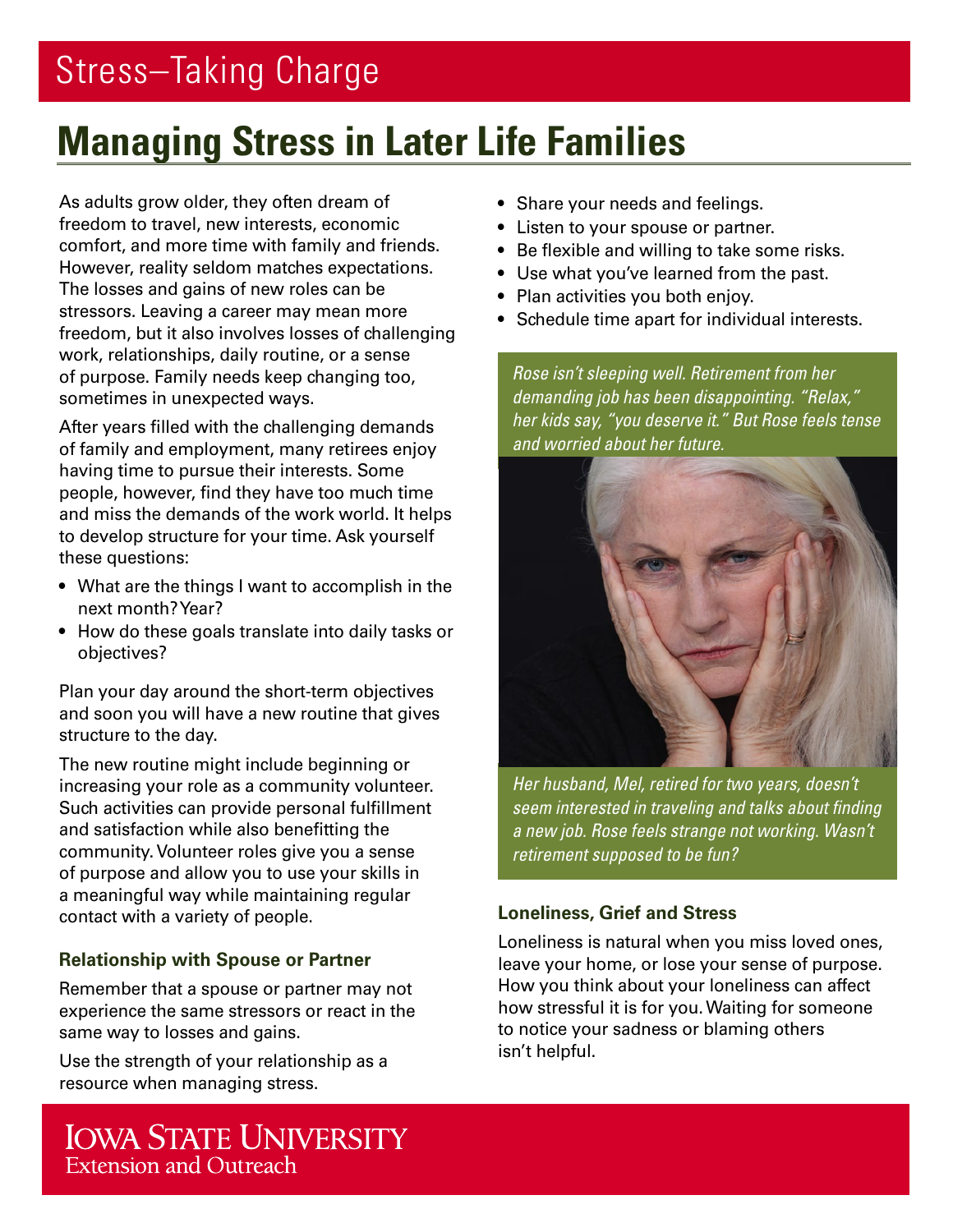# **Managing Stress in Later Life Families**

As adults grow older, they often dream of freedom to travel, new interests, economic comfort, and more time with family and friends. However, reality seldom matches expectations. The losses and gains of new roles can be stressors. Leaving a career may mean more freedom, but it also involves losses of challenging work, relationships, daily routine, or a sense of purpose. Family needs keep changing too, sometimes in unexpected ways.

After years filled with the challenging demands of family and employment, many retirees enjoy having time to pursue their interests. Some people, however, find they have too much time and miss the demands of the work world. It helps to develop structure for your time. Ask yourself these questions:

- What are the things I want to accomplish in the next month? Year?
- How do these goals translate into daily tasks or objectives?

Plan your day around the short-term objectives and soon you will have a new routine that gives structure to the day.

The new routine might include beginning or increasing your role as a community volunteer. Such activities can provide personal fulfillment and satisfaction while also benefitting the community. Volunteer roles give you a sense of purpose and allow you to use your skills in a meaningful way while maintaining regular contact with a variety of people.

## **Relationship with Spouse or Partner**

Remember that a spouse or partner may not experience the same stressors or react in the same way to losses and gains.

Use the strength of your relationship as a resource when managing stress.

- Share your needs and feelings.
- Listen to your spouse or partner.
- Be flexible and willing to take some risks.
- Use what you've learned from the past.
- Plan activities you both enjoy.
- Schedule time apart for individual interests.

*Rose isn't sleeping well. Retirement from her demanding job has been disappointing. "Relax," her kids say, "you deserve it." But Rose feels tense and worried about her future.*



*Her husband, Mel, retired for two years, doesn't seem interested in traveling and talks about finding a new job. Rose feels strange not working. Wasn't retirement supposed to be fun?* 

## **Loneliness, Grief and Stress**

Loneliness is natural when you miss loved ones, leave your home, or lose your sense of purpose. How you think about your loneliness can affect how stressful it is for you. Waiting for someone to notice your sadness or blaming others isn't helpful.

**IOWA STATE UNIVERSITY** Extension and Outreach